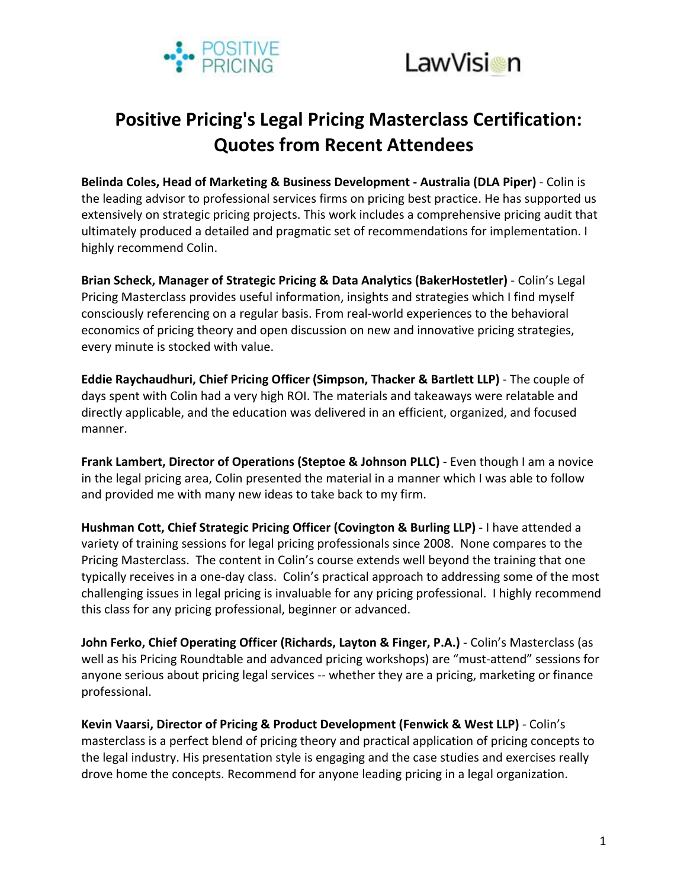



## **Positive Pricing's Legal Pricing Masterclass Certification: Quotes from Recent Attendees**

**Belinda Coles, Head of Marketing & Business Development - Australia (DLA Piper) - Colin is** the leading advisor to professional services firms on pricing best practice. He has supported us extensively on strategic pricing projects. This work includes a comprehensive pricing audit that ultimately produced a detailed and pragmatic set of recommendations for implementation. I highly recommend Colin.

**Brian Scheck, Manager of Strategic Pricing & Data Analytics (BakerHostetler)** - Colin's Legal Pricing Masterclass provides useful information, insights and strategies which I find myself consciously referencing on a regular basis. From real-world experiences to the behavioral economics of pricing theory and open discussion on new and innovative pricing strategies, every minute is stocked with value.

**Eddie Raychaudhuri, Chief Pricing Officer (Simpson, Thacker & Bartlett LLP)** - The couple of days spent with Colin had a very high ROI. The materials and takeaways were relatable and directly applicable, and the education was delivered in an efficient, organized, and focused manner. 

Frank Lambert, Director of Operations (Steptoe & Johnson PLLC) - Even though I am a novice in the legal pricing area, Colin presented the material in a manner which I was able to follow and provided me with many new ideas to take back to my firm.

Hushman Cott, Chief Strategic Pricing Officer (Covington & Burling LLP) - I have attended a variety of training sessions for legal pricing professionals since 2008. None compares to the Pricing Masterclass. The content in Colin's course extends well beyond the training that one typically receives in a one-day class. Colin's practical approach to addressing some of the most challenging issues in legal pricing is invaluable for any pricing professional. I highly recommend this class for any pricing professional, beginner or advanced.

**John Ferko, Chief Operating Officer (Richards, Layton & Finger, P.A.) - Colin's Masterclass (as** well as his Pricing Roundtable and advanced pricing workshops) are "must-attend" sessions for anyone serious about pricing legal services -- whether they are a pricing, marketing or finance professional. 

**Kevin Vaarsi, Director of Pricing & Product Development (Fenwick & West LLP) - Colin's** masterclass is a perfect blend of pricing theory and practical application of pricing concepts to the legal industry. His presentation style is engaging and the case studies and exercises really drove home the concepts. Recommend for anyone leading pricing in a legal organization.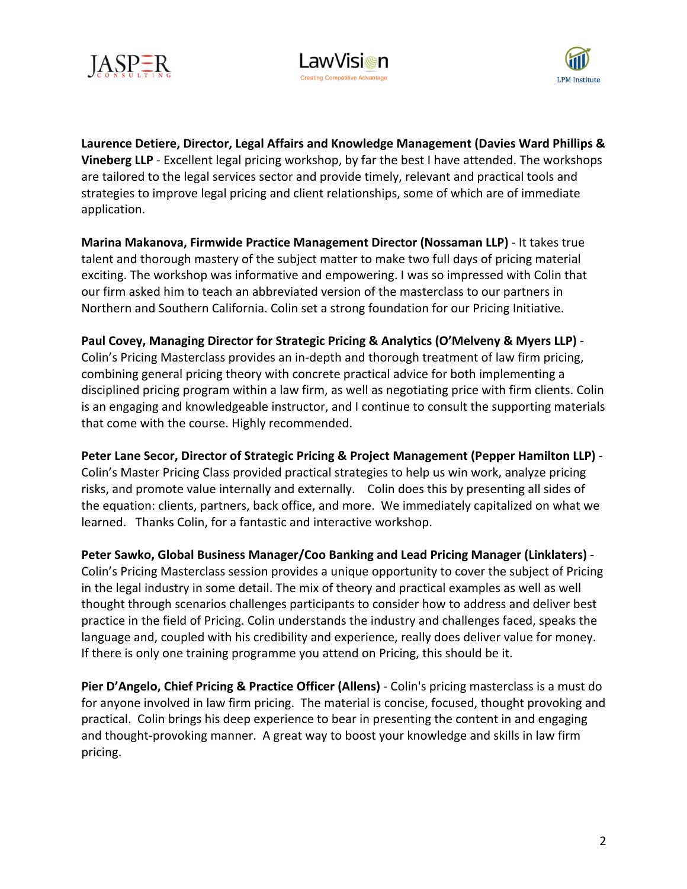





Laurence Detiere, Director, Legal Affairs and Knowledge Management (Davies Ward Phillips & **Vineberg LLP** - Excellent legal pricing workshop, by far the best I have attended. The workshops are tailored to the legal services sector and provide timely, relevant and practical tools and strategies to improve legal pricing and client relationships, some of which are of immediate application.

**Marina Makanova, Firmwide Practice Management Director (Nossaman LLP)** - It takes true talent and thorough mastery of the subject matter to make two full days of pricing material exciting. The workshop was informative and empowering. I was so impressed with Colin that our firm asked him to teach an abbreviated version of the masterclass to our partners in Northern and Southern California. Colin set a strong foundation for our Pricing Initiative.

Paul Covey, Managing Director for Strategic Pricing & Analytics (O'Melveny & Myers LLP) -

Colin's Pricing Masterclass provides an in-depth and thorough treatment of law firm pricing, combining general pricing theory with concrete practical advice for both implementing a disciplined pricing program within a law firm, as well as negotiating price with firm clients. Colin is an engaging and knowledgeable instructor, and I continue to consult the supporting materials that come with the course. Highly recommended.

Peter Lane Secor, Director of Strategic Pricing & Project Management (Pepper Hamilton LLP) -Colin's Master Pricing Class provided practical strategies to help us win work, analyze pricing risks, and promote value internally and externally. Colin does this by presenting all sides of the equation: clients, partners, back office, and more. We immediately capitalized on what we learned. Thanks Colin, for a fantastic and interactive workshop.

Peter Sawko, Global Business Manager/Coo Banking and Lead Pricing Manager (Linklaters) -Colin's Pricing Masterclass session provides a unique opportunity to cover the subject of Pricing in the legal industry in some detail. The mix of theory and practical examples as well as well thought through scenarios challenges participants to consider how to address and deliver best practice in the field of Pricing. Colin understands the industry and challenges faced, speaks the language and, coupled with his credibility and experience, really does deliver value for money. If there is only one training programme you attend on Pricing, this should be it.

**Pier D'Angelo, Chief Pricing & Practice Officer (Allens) - Colin's pricing masterclass is a must do** for anyone involved in law firm pricing. The material is concise, focused, thought provoking and practical. Colin brings his deep experience to bear in presenting the content in and engaging and thought-provoking manner. A great way to boost your knowledge and skills in law firm pricing.